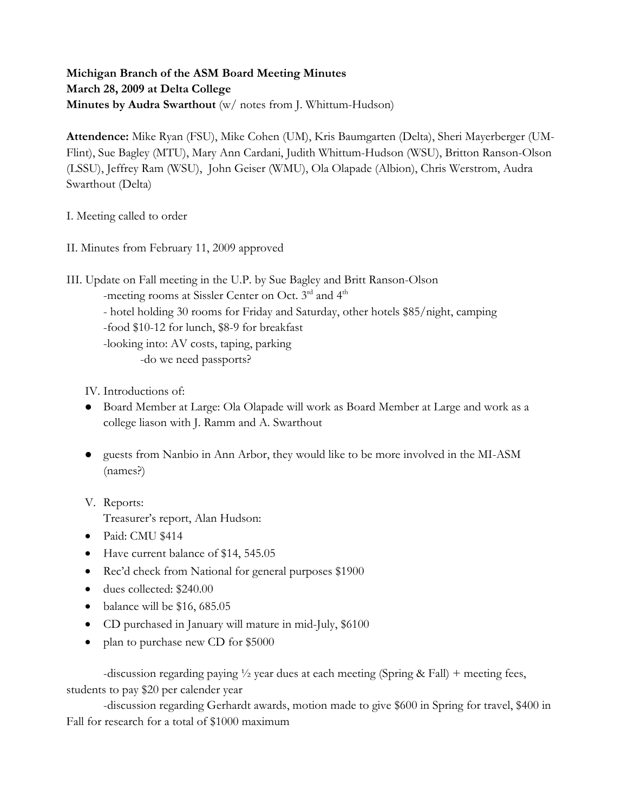**Michigan Branch of the ASM Board Meeting Minutes March 28, 2009 at Delta College Minutes by Audra Swarthout** (w/ notes from J. Whittum-Hudson)

**Attendence:** Mike Ryan (FSU), Mike Cohen (UM), Kris Baumgarten (Delta), Sheri Mayerberger (UM-Flint), Sue Bagley (MTU), Mary Ann Cardani, Judith Whittum-Hudson (WSU), Britton Ranson-Olson (LSSU), Jeffrey Ram (WSU), John Geiser (WMU), Ola Olapade (Albion), Chris Werstrom, Audra Swarthout (Delta)

I. Meeting called to order

II. Minutes from February 11, 2009 approved

III. Update on Fall meeting in the U.P. by Sue Bagley and Britt Ranson-Olson

-meeting rooms at Sissler Center on Oct. 3<sup>rd</sup> and 4<sup>th</sup>

- hotel holding 30 rooms for Friday and Saturday, other hotels \$85/night, camping

-food \$10-12 for lunch, \$8-9 for breakfast

-looking into: AV costs, taping, parking

-do we need passports?

IV. Introductions of:

- Board Member at Large: Ola Olapade will work as Board Member at Large and work as a college liason with J. Ramm and A. Swarthout
- guests from Nanbio in Ann Arbor, they would like to be more involved in the MI-ASM (names?)
- V. Reports:

Treasurer's report, Alan Hudson:

- Paid: CMU \$414
- Have current balance of \$14, 545.05
- Rec'd check from National for general purposes \$1900
- dues collected: \$240.00
- balance will be \$16, 685.05
- CD purchased in January will mature in mid-July, \$6100
- plan to purchase new CD for \$5000

-discussion regarding paying  $\frac{1}{2}$  year dues at each meeting (Spring & Fall) + meeting fees, students to pay \$20 per calender year

 -discussion regarding Gerhardt awards, motion made to give \$600 in Spring for travel, \$400 in Fall for research for a total of \$1000 maximum